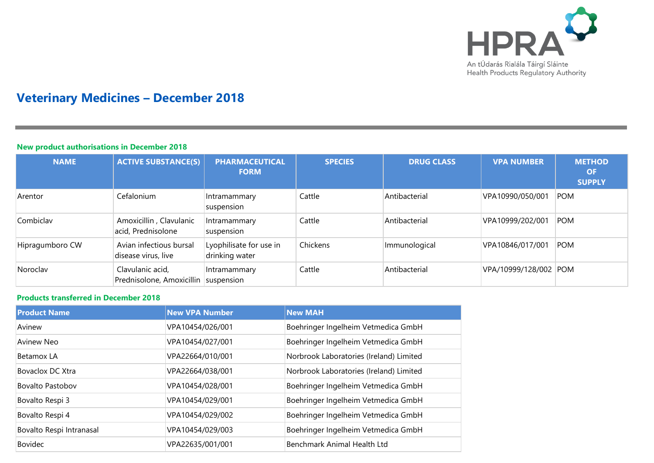

# **Veterinary Medicines – December 2018**

### **New product authorisations in December 2018**

| <b>NAME</b>     | <b>ACTIVE SUBSTANCE(S)</b>                               | <b>PHARMACEUTICAL</b><br><b>FORM</b>      | <b>SPECIES</b> | <b>DRUG CLASS</b> | <b>VPA NUMBER</b>     | <b>METHOD</b><br><b>OF</b><br><b>SUPPLY</b> |
|-----------------|----------------------------------------------------------|-------------------------------------------|----------------|-------------------|-----------------------|---------------------------------------------|
| Arentor         | Cefalonium                                               | Intramammary<br>suspension                | Cattle         | Antibacterial     | VPA10990/050/001      | POM                                         |
| Combiclav       | Amoxicillin, Clavulanic<br>acid, Prednisolone            | Intramammary<br>suspension                | Cattle         | Antibacterial     | VPA10999/202/001      | POM                                         |
| Hipragumboro CW | Avian infectious bursal<br>disease virus, live           | Lyophilisate for use in<br>drinking water | Chickens       | Immunological     | VPA10846/017/001      | POM                                         |
| Noroclav        | Clavulanic acid,<br>Prednisolone, Amoxicillin suspension | Intramammary                              | Cattle         | Antibacterial     | VPA/10999/128/002 POM |                                             |

### **Products transferred in December 2018**

| <b>Product Name</b>      | <b>New VPA Number</b> | <b>New MAH</b>                          |
|--------------------------|-----------------------|-----------------------------------------|
| Avinew                   | VPA10454/026/001      | Boehringer Ingelheim Vetmedica GmbH     |
| Avinew Neo               | VPA10454/027/001      | Boehringer Ingelheim Vetmedica GmbH     |
| Betamox LA               | VPA22664/010/001      | Norbrook Laboratories (Ireland) Limited |
| <b>Bovaclox DC Xtra</b>  | VPA22664/038/001      | Norbrook Laboratories (Ireland) Limited |
| <b>Bovalto Pastobov</b>  | VPA10454/028/001      | Boehringer Ingelheim Vetmedica GmbH     |
| Bovalto Respi 3          | VPA10454/029/001      | Boehringer Ingelheim Vetmedica GmbH     |
| Bovalto Respi 4          | VPA10454/029/002      | Boehringer Ingelheim Vetmedica GmbH     |
| Bovalto Respi Intranasal | VPA10454/029/003      | Boehringer Ingelheim Vetmedica GmbH     |
| <b>Bovidec</b>           | VPA22635/001/001      | Benchmark Animal Health Ltd             |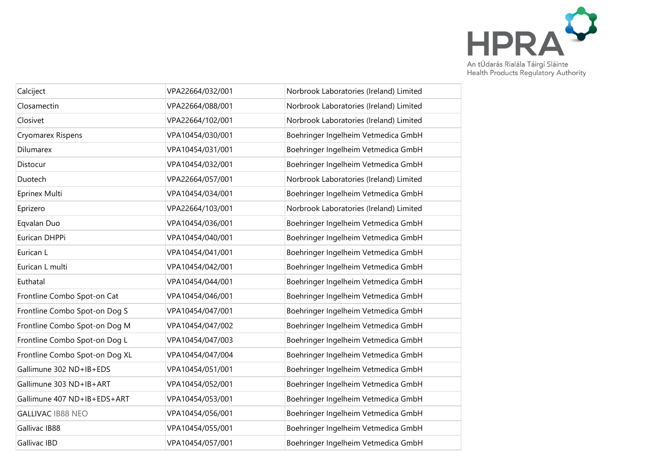

| Calciject                      | VPA22664/032/001 | Norbrook Laboratories (Ireland) Limited |
|--------------------------------|------------------|-----------------------------------------|
| Closamectin                    | VPA22664/088/001 | Norbrook Laboratories (Ireland) Limited |
| Closivet                       | VPA22664/102/001 | Norbrook Laboratories (Ireland) Limited |
| Cryomarex Rispens              | VPA10454/030/001 | Boehringer Ingelheim Vetmedica GmbH     |
| <b>Dilumarex</b>               | VPA10454/031/001 | Boehringer Ingelheim Vetmedica GmbH     |
| Distocur                       | VPA10454/032/001 | Boehringer Ingelheim Vetmedica GmbH     |
| Duotech                        | VPA22664/057/001 | Norbrook Laboratories (Ireland) Limited |
| Eprinex Multi                  | VPA10454/034/001 | Boehringer Ingelheim Vetmedica GmbH     |
| Eprizero                       | VPA22664/103/001 | Norbrook Laboratories (Ireland) Limited |
| Eqvalan Duo                    | VPA10454/036/001 | Boehringer Ingelheim Vetmedica GmbH     |
| Eurican DHPPi                  | VPA10454/040/001 | Boehringer Ingelheim Vetmedica GmbH     |
| Eurican L                      | VPA10454/041/001 | Boehringer Ingelheim Vetmedica GmbH     |
| Eurican L multi                | VPA10454/042/001 | Boehringer Ingelheim Vetmedica GmbH     |
| Euthatal                       | VPA10454/044/001 | Boehringer Ingelheim Vetmedica GmbH     |
| Frontline Combo Spot-on Cat    | VPA10454/046/001 | Boehringer Ingelheim Vetmedica GmbH     |
| Frontline Combo Spot-on Dog S  | VPA10454/047/001 | Boehringer Ingelheim Vetmedica GmbH     |
| Frontline Combo Spot-on Dog M  | VPA10454/047/002 | Boehringer Ingelheim Vetmedica GmbH     |
| Frontline Combo Spot-on Dog L  | VPA10454/047/003 | Boehringer Ingelheim Vetmedica GmbH     |
| Frontline Combo Spot-on Dog XL | VPA10454/047/004 | Boehringer Ingelheim Vetmedica GmbH     |
| Gallimune 302 ND+IB+EDS        | VPA10454/051/001 | Boehringer Ingelheim Vetmedica GmbH     |
| Gallimune 303 ND+IB+ART        | VPA10454/052/001 | Boehringer Ingelheim Vetmedica GmbH     |
| Gallimune 407 ND+IB+EDS+ART    | VPA10454/053/001 | Boehringer Ingelheim Vetmedica GmbH     |
| <b>GALLIVAC IB88 NEO</b>       | VPA10454/056/001 | Boehringer Ingelheim Vetmedica GmbH     |
| Gallivac IB88                  | VPA10454/055/001 | Boehringer Ingelheim Vetmedica GmbH     |
| <b>Gallivac IBD</b>            | VPA10454/057/001 | Boehringer Ingelheim Vetmedica GmbH     |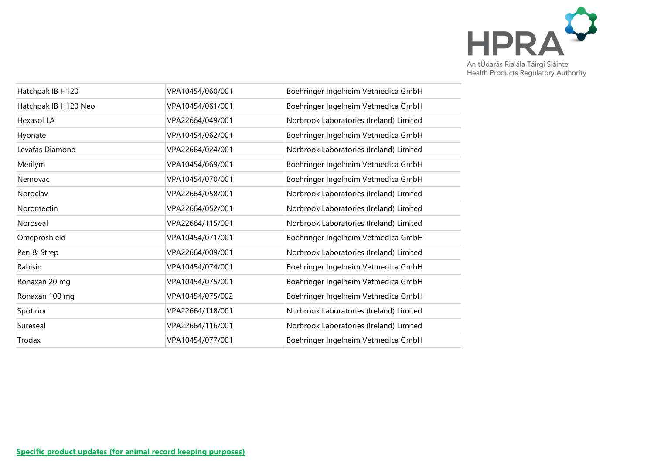

| Hatchpak IB H120     | VPA10454/060/001 | Boehringer Ingelheim Vetmedica GmbH     |
|----------------------|------------------|-----------------------------------------|
| Hatchpak IB H120 Neo | VPA10454/061/001 | Boehringer Ingelheim Vetmedica GmbH     |
| Hexasol LA           | VPA22664/049/001 | Norbrook Laboratories (Ireland) Limited |
| Hyonate              | VPA10454/062/001 | Boehringer Ingelheim Vetmedica GmbH     |
| Levafas Diamond      | VPA22664/024/001 | Norbrook Laboratories (Ireland) Limited |
| Merilym              | VPA10454/069/001 | Boehringer Ingelheim Vetmedica GmbH     |
| Nemovac              | VPA10454/070/001 | Boehringer Ingelheim Vetmedica GmbH     |
| Noroclav             | VPA22664/058/001 | Norbrook Laboratories (Ireland) Limited |
| Noromectin           | VPA22664/052/001 | Norbrook Laboratories (Ireland) Limited |
| Noroseal             | VPA22664/115/001 | Norbrook Laboratories (Ireland) Limited |
| Omeproshield         | VPA10454/071/001 | Boehringer Ingelheim Vetmedica GmbH     |
| Pen & Strep          | VPA22664/009/001 | Norbrook Laboratories (Ireland) Limited |
| Rabisin              | VPA10454/074/001 | Boehringer Ingelheim Vetmedica GmbH     |
| Ronaxan 20 mg        | VPA10454/075/001 | Boehringer Ingelheim Vetmedica GmbH     |
| Ronaxan 100 mg       | VPA10454/075/002 | Boehringer Ingelheim Vetmedica GmbH     |
| Spotinor             | VPA22664/118/001 | Norbrook Laboratories (Ireland) Limited |
| Sureseal             | VPA22664/116/001 | Norbrook Laboratories (Ireland) Limited |
| Trodax               | VPA10454/077/001 | Boehringer Ingelheim Vetmedica GmbH     |